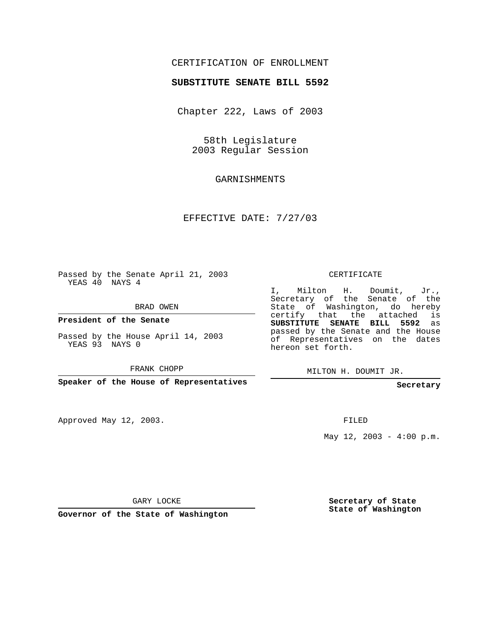### CERTIFICATION OF ENROLLMENT

#### **SUBSTITUTE SENATE BILL 5592**

Chapter 222, Laws of 2003

58th Legislature 2003 Regular Session

GARNISHMENTS

EFFECTIVE DATE: 7/27/03

Passed by the Senate April 21, 2003 YEAS 40 NAYS 4

BRAD OWEN

**President of the Senate**

Passed by the House April 14, 2003 YEAS 93 NAYS 0

FRANK CHOPP

**Speaker of the House of Representatives**

Approved May 12, 2003.

CERTIFICATE

I, Milton H. Doumit, Jr., Secretary of the Senate of the State of Washington, do hereby certify that the attached is **SUBSTITUTE SENATE BILL 5592** as passed by the Senate and the House of Representatives on the dates hereon set forth.

MILTON H. DOUMIT JR.

**Secretary**

FILED

May  $12$ ,  $2003 - 4:00$  p.m.

GARY LOCKE

**Governor of the State of Washington**

**Secretary of State State of Washington**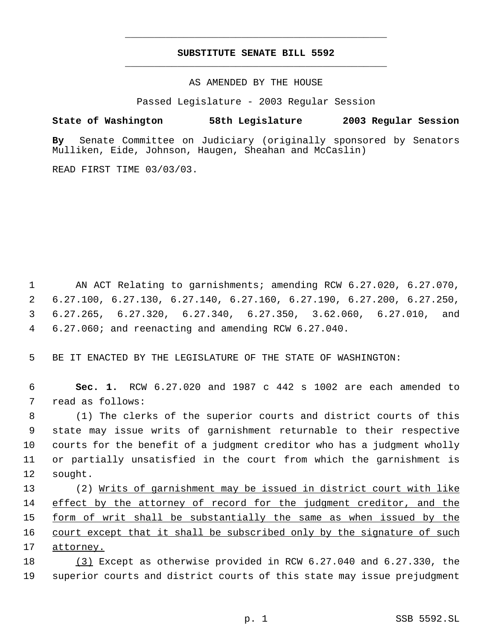## **SUBSTITUTE SENATE BILL 5592** \_\_\_\_\_\_\_\_\_\_\_\_\_\_\_\_\_\_\_\_\_\_\_\_\_\_\_\_\_\_\_\_\_\_\_\_\_\_\_\_\_\_\_\_\_

\_\_\_\_\_\_\_\_\_\_\_\_\_\_\_\_\_\_\_\_\_\_\_\_\_\_\_\_\_\_\_\_\_\_\_\_\_\_\_\_\_\_\_\_\_

AS AMENDED BY THE HOUSE

Passed Legislature - 2003 Regular Session

#### **State of Washington 58th Legislature 2003 Regular Session**

**By** Senate Committee on Judiciary (originally sponsored by Senators Mulliken, Eide, Johnson, Haugen, Sheahan and McCaslin)

READ FIRST TIME 03/03/03.

 AN ACT Relating to garnishments; amending RCW 6.27.020, 6.27.070, 6.27.100, 6.27.130, 6.27.140, 6.27.160, 6.27.190, 6.27.200, 6.27.250, 6.27.265, 6.27.320, 6.27.340, 6.27.350, 3.62.060, 6.27.010, and 6.27.060; and reenacting and amending RCW 6.27.040.

5 BE IT ENACTED BY THE LEGISLATURE OF THE STATE OF WASHINGTON:

 6 **Sec. 1.** RCW 6.27.020 and 1987 c 442 s 1002 are each amended to 7 read as follows:

 (1) The clerks of the superior courts and district courts of this state may issue writs of garnishment returnable to their respective courts for the benefit of a judgment creditor who has a judgment wholly or partially unsatisfied in the court from which the garnishment is 12 sought.

 (2) Writs of garnishment may be issued in district court with like effect by the attorney of record for the judgment creditor, and the 15 <u>form of writ shall be substantially the same as when issued by the</u> court except that it shall be subscribed only by the signature of such attorney.

18 (3) Except as otherwise provided in RCW 6.27.040 and 6.27.330, the 19 superior courts and district courts of this state may issue prejudgment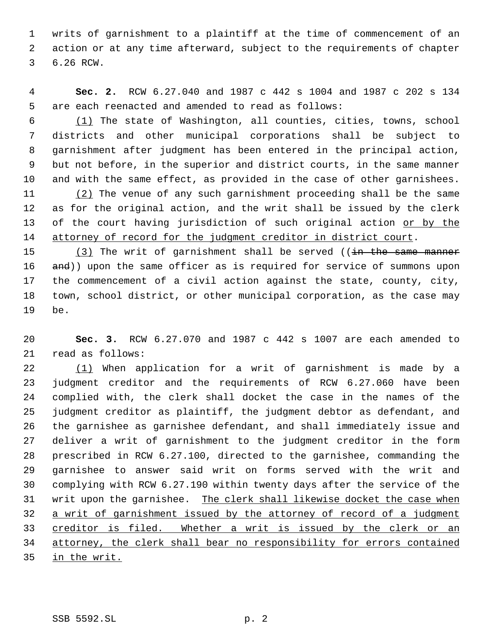writs of garnishment to a plaintiff at the time of commencement of an action or at any time afterward, subject to the requirements of chapter 6.26 RCW.

 **Sec. 2.** RCW 6.27.040 and 1987 c 442 s 1004 and 1987 c 202 s 134 are each reenacted and amended to read as follows:

 (1) The state of Washington, all counties, cities, towns, school districts and other municipal corporations shall be subject to garnishment after judgment has been entered in the principal action, but not before, in the superior and district courts, in the same manner and with the same effect, as provided in the case of other garnishees. (2) The venue of any such garnishment proceeding shall be the same as for the original action, and the writ shall be issued by the clerk of the court having jurisdiction of such original action or by the 14 attorney of record for the judgment creditor in district court.

15 (3) The writ of garnishment shall be served ((in the same manner 16 and)) upon the same officer as is required for service of summons upon the commencement of a civil action against the state, county, city, town, school district, or other municipal corporation, as the case may be.

 **Sec. 3.** RCW 6.27.070 and 1987 c 442 s 1007 are each amended to read as follows:

22 (1) When application for a writ of garnishment is made by a judgment creditor and the requirements of RCW 6.27.060 have been complied with, the clerk shall docket the case in the names of the judgment creditor as plaintiff, the judgment debtor as defendant, and the garnishee as garnishee defendant, and shall immediately issue and deliver a writ of garnishment to the judgment creditor in the form prescribed in RCW 6.27.100, directed to the garnishee, commanding the garnishee to answer said writ on forms served with the writ and complying with RCW 6.27.190 within twenty days after the service of the 31 writ upon the garnishee. The clerk shall likewise docket the case when a writ of garnishment issued by the attorney of record of a judgment 33 creditor is filed. Whether a writ is issued by the clerk or an attorney, the clerk shall bear no responsibility for errors contained in the writ.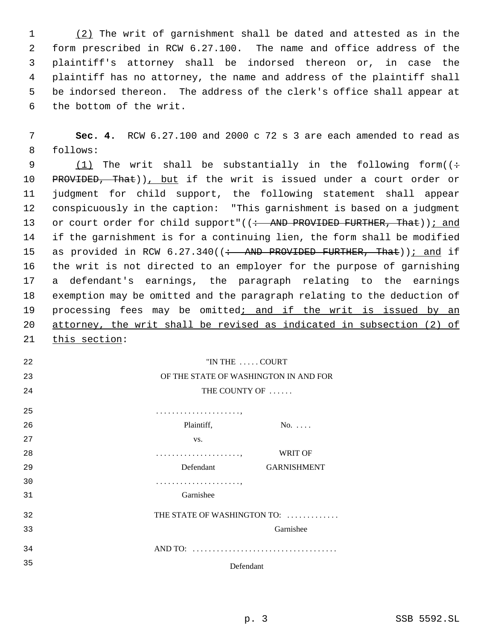(2) The writ of garnishment shall be dated and attested as in the form prescribed in RCW 6.27.100. The name and office address of the plaintiff's attorney shall be indorsed thereon or, in case the plaintiff has no attorney, the name and address of the plaintiff shall be indorsed thereon. The address of the clerk's office shall appear at the bottom of the writ.

 **Sec. 4.** RCW 6.27.100 and 2000 c 72 s 3 are each amended to read as follows:

9 (1) The writ shall be substantially in the following form( $($ ÷ 10 PROVIDED, That)), but if the writ is issued under a court order or judgment for child support, the following statement shall appear conspicuously in the caption: "This garnishment is based on a judgment 13 or court order for child support"((: AND PROVIDED FURTHER, That)); and if the garnishment is for a continuing lien, the form shall be modified 15 as provided in RCW 6.27.340((: AND PROVIDED FURTHER, That)); and if the writ is not directed to an employer for the purpose of garnishing a defendant's earnings, the paragraph relating to the earnings exemption may be omitted and the paragraph relating to the deduction of 19 processing fees may be omitted; and if the writ is issued by an attorney, the writ shall be revised as indicated in subsection (2) of 21 this section:

| 22  | "IN THE  COURT                        |                    |
|-----|---------------------------------------|--------------------|
| 23  | OF THE STATE OF WASHINGTON IN AND FOR |                    |
| 24  | THE COUNTY OF                         |                    |
| 25  |                                       |                    |
| 26  | Plaintiff,                            | $No. \ldots$       |
| 2.7 | VS.                                   |                    |
| 28  |                                       | <b>WRIT OF</b>     |
| 29  | Defendant                             | <b>GARNISHMENT</b> |
| 30  |                                       |                    |
| 31  | Garnishee                             |                    |
| 32  | THE STATE OF WASHINGTON TO:           |                    |
| 33  |                                       | Garnishee          |
| 34  |                                       |                    |
| 35  | Defendant                             |                    |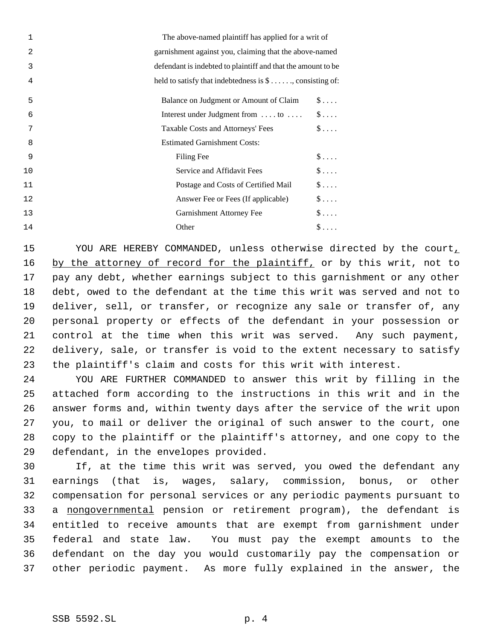| $\mathbf 1$ | The above-named plaintiff has applied for a writ of              |
|-------------|------------------------------------------------------------------|
| 2           | garnishment against you, claiming that the above-named           |
| 3           | defendant is indebted to plaintiff and that the amount to be     |
| 4           | held to satisfy that indebtedness is $\$\ldots$ , consisting of: |
| 5           | Balance on Judgment or Amount of Claim<br>$\mathbb{S}$           |
| 6           | $\hat{\mathbb{S}}$<br>Interest under Judgment from  to           |
| 7           | $\mathsf{\$}\ldots$ .<br>Taxable Costs and Attorneys' Fees       |
| 8           | <b>Estimated Garnishment Costs:</b>                              |
| 9           | Filing Fee<br>$\mathsf{\$} \ldots$                               |
| 10          | $\frac{1}{2}$<br>Service and Affidavit Fees                      |
| 11          | $\$\ldots$<br>Postage and Costs of Certified Mail                |
| 12          | $S \ldots$<br>Answer Fee or Fees (If applicable)                 |
| 13          | $\$\ldots$ .<br>Garnishment Attorney Fee                         |
| 14          | $\$\ldots$<br>Other                                              |

15 YOU ARE HEREBY COMMANDED, unless otherwise directed by the court, 16 by the attorney of record for the plaintiff, or by this writ, not to pay any debt, whether earnings subject to this garnishment or any other debt, owed to the defendant at the time this writ was served and not to deliver, sell, or transfer, or recognize any sale or transfer of, any personal property or effects of the defendant in your possession or control at the time when this writ was served. Any such payment, delivery, sale, or transfer is void to the extent necessary to satisfy the plaintiff's claim and costs for this writ with interest.

 YOU ARE FURTHER COMMANDED to answer this writ by filling in the attached form according to the instructions in this writ and in the answer forms and, within twenty days after the service of the writ upon you, to mail or deliver the original of such answer to the court, one copy to the plaintiff or the plaintiff's attorney, and one copy to the defendant, in the envelopes provided.

 If, at the time this writ was served, you owed the defendant any earnings (that is, wages, salary, commission, bonus, or other compensation for personal services or any periodic payments pursuant to 33 a nongovernmental pension or retirement program), the defendant is entitled to receive amounts that are exempt from garnishment under federal and state law. You must pay the exempt amounts to the defendant on the day you would customarily pay the compensation or other periodic payment. As more fully explained in the answer, the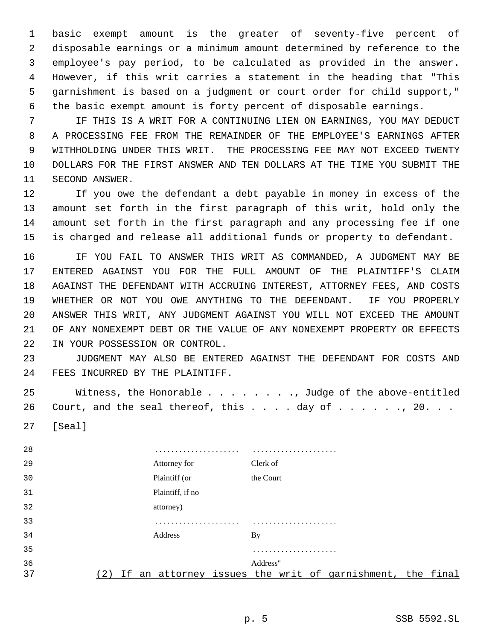basic exempt amount is the greater of seventy-five percent of disposable earnings or a minimum amount determined by reference to the employee's pay period, to be calculated as provided in the answer. However, if this writ carries a statement in the heading that "This garnishment is based on a judgment or court order for child support," the basic exempt amount is forty percent of disposable earnings.

 IF THIS IS A WRIT FOR A CONTINUING LIEN ON EARNINGS, YOU MAY DEDUCT A PROCESSING FEE FROM THE REMAINDER OF THE EMPLOYEE'S EARNINGS AFTER WITHHOLDING UNDER THIS WRIT. THE PROCESSING FEE MAY NOT EXCEED TWENTY DOLLARS FOR THE FIRST ANSWER AND TEN DOLLARS AT THE TIME YOU SUBMIT THE SECOND ANSWER.

 If you owe the defendant a debt payable in money in excess of the amount set forth in the first paragraph of this writ, hold only the amount set forth in the first paragraph and any processing fee if one is charged and release all additional funds or property to defendant.

 IF YOU FAIL TO ANSWER THIS WRIT AS COMMANDED, A JUDGMENT MAY BE ENTERED AGAINST YOU FOR THE FULL AMOUNT OF THE PLAINTIFF'S CLAIM AGAINST THE DEFENDANT WITH ACCRUING INTEREST, ATTORNEY FEES, AND COSTS WHETHER OR NOT YOU OWE ANYTHING TO THE DEFENDANT. IF YOU PROPERLY ANSWER THIS WRIT, ANY JUDGMENT AGAINST YOU WILL NOT EXCEED THE AMOUNT OF ANY NONEXEMPT DEBT OR THE VALUE OF ANY NONEXEMPT PROPERTY OR EFFECTS IN YOUR POSSESSION OR CONTROL.

 JUDGMENT MAY ALSO BE ENTERED AGAINST THE DEFENDANT FOR COSTS AND FEES INCURRED BY THE PLAINTIFF.

 Witness, the Honorable . . . . . . . ., Judge of the above-entitled 26 Court, and the seal thereof, this  $\ldots$  . day of  $\ldots$  . . ., 20. . .

[Seal]

| 28 |    | .<br>.           |           |  |                                                       |  |
|----|----|------------------|-----------|--|-------------------------------------------------------|--|
| 29 |    | Attorney for     | Clerk of  |  |                                                       |  |
| 30 |    | Plaintiff (or    | the Court |  |                                                       |  |
| 31 |    | Plaintiff, if no |           |  |                                                       |  |
| 32 |    | attorney)        |           |  |                                                       |  |
| 33 |    | .<br>.           |           |  |                                                       |  |
| 34 |    | Address          | <b>By</b> |  |                                                       |  |
| 35 |    |                  |           |  |                                                       |  |
| 36 |    |                  | Address"  |  |                                                       |  |
| 37 | It |                  |           |  | an attorney issues the writ of garnishment, the final |  |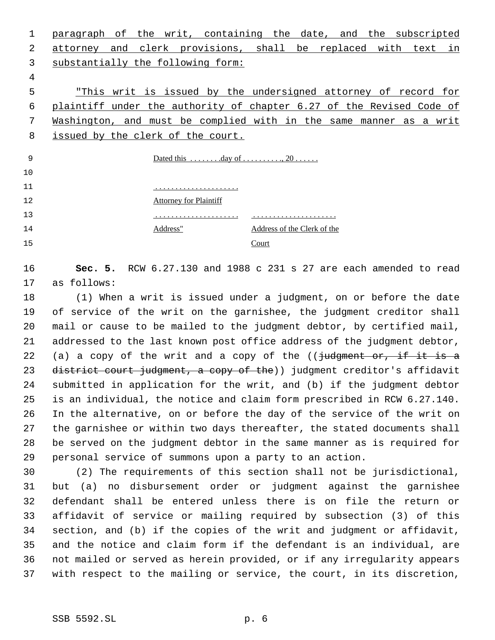paragraph of the writ, containing the date, and the subscripted attorney and clerk provisions, shall be replaced with text in substantially the following form: "This writ is issued by the undersigned attorney of record for plaintiff under the authority of chapter 6.27 of the Revised Code of

 Washington, and must be complied with in the same manner as a writ issued by the clerk of the court.

| 9  | Dated this $\dots \dots$ day of $\dots \dots \dots$ , 20 |                             |
|----|----------------------------------------------------------|-----------------------------|
| 10 |                                                          |                             |
| 11 |                                                          |                             |
| 12 | <b>Attorney for Plaintiff</b>                            |                             |
| 13 |                                                          |                             |
| 14 | Address"                                                 | Address of the Clerk of the |
| 15 |                                                          | Court                       |

# **Sec. 5.** RCW 6.27.130 and 1988 c 231 s 27 are each amended to read as follows:

 (1) When a writ is issued under a judgment, on or before the date of service of the writ on the garnishee, the judgment creditor shall mail or cause to be mailed to the judgment debtor, by certified mail, addressed to the last known post office address of the judgment debtor, 22 (a) a copy of the writ and a copy of the  $($   $\frac{1}{1}$ udgment or, if it is a 23 district court judgment, a copy of the)) judgment creditor's affidavit submitted in application for the writ, and (b) if the judgment debtor is an individual, the notice and claim form prescribed in RCW 6.27.140. In the alternative, on or before the day of the service of the writ on the garnishee or within two days thereafter, the stated documents shall be served on the judgment debtor in the same manner as is required for personal service of summons upon a party to an action.

 (2) The requirements of this section shall not be jurisdictional, but (a) no disbursement order or judgment against the garnishee defendant shall be entered unless there is on file the return or affidavit of service or mailing required by subsection (3) of this section, and (b) if the copies of the writ and judgment or affidavit, and the notice and claim form if the defendant is an individual, are not mailed or served as herein provided, or if any irregularity appears with respect to the mailing or service, the court, in its discretion,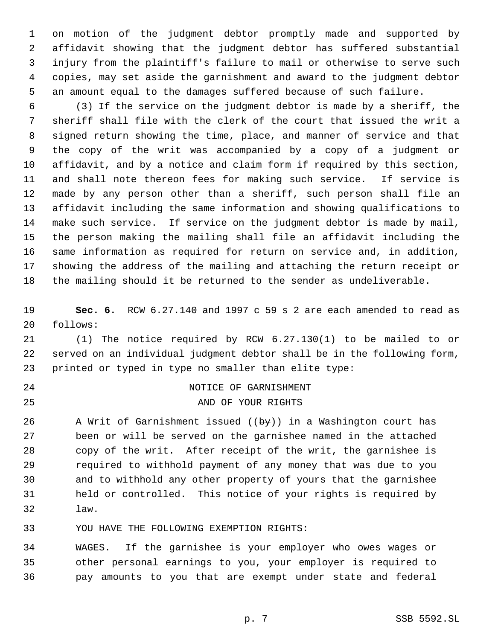on motion of the judgment debtor promptly made and supported by affidavit showing that the judgment debtor has suffered substantial injury from the plaintiff's failure to mail or otherwise to serve such copies, may set aside the garnishment and award to the judgment debtor an amount equal to the damages suffered because of such failure.

 (3) If the service on the judgment debtor is made by a sheriff, the sheriff shall file with the clerk of the court that issued the writ a signed return showing the time, place, and manner of service and that the copy of the writ was accompanied by a copy of a judgment or affidavit, and by a notice and claim form if required by this section, and shall note thereon fees for making such service. If service is made by any person other than a sheriff, such person shall file an affidavit including the same information and showing qualifications to make such service. If service on the judgment debtor is made by mail, the person making the mailing shall file an affidavit including the same information as required for return on service and, in addition, showing the address of the mailing and attaching the return receipt or the mailing should it be returned to the sender as undeliverable.

 **Sec. 6.** RCW 6.27.140 and 1997 c 59 s 2 are each amended to read as follows:

 (1) The notice required by RCW 6.27.130(1) to be mailed to or served on an individual judgment debtor shall be in the following form, printed or typed in type no smaller than elite type:

 NOTICE OF GARNISHMENT AND OF YOUR RIGHTS

26 A Writ of Garnishment issued  $(\overline{by})$  in a Washington court has been or will be served on the garnishee named in the attached copy of the writ. After receipt of the writ, the garnishee is required to withhold payment of any money that was due to you and to withhold any other property of yours that the garnishee held or controlled. This notice of your rights is required by law.

YOU HAVE THE FOLLOWING EXEMPTION RIGHTS:

 WAGES. If the garnishee is your employer who owes wages or other personal earnings to you, your employer is required to pay amounts to you that are exempt under state and federal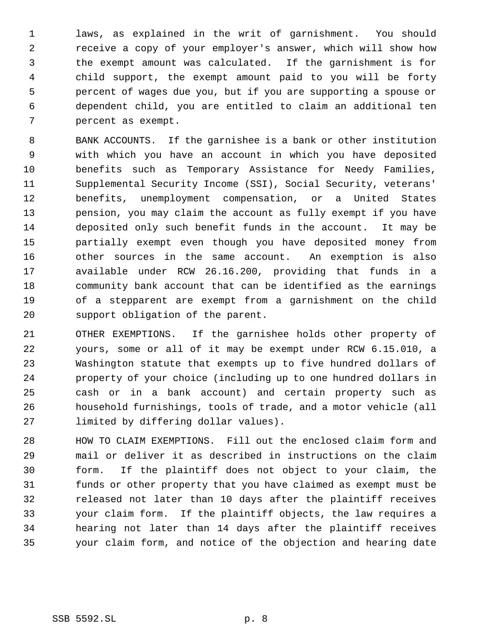laws, as explained in the writ of garnishment. You should receive a copy of your employer's answer, which will show how the exempt amount was calculated. If the garnishment is for child support, the exempt amount paid to you will be forty percent of wages due you, but if you are supporting a spouse or dependent child, you are entitled to claim an additional ten percent as exempt.

 BANK ACCOUNTS. If the garnishee is a bank or other institution with which you have an account in which you have deposited benefits such as Temporary Assistance for Needy Families, Supplemental Security Income (SSI), Social Security, veterans' benefits, unemployment compensation, or a United States pension, you may claim the account as fully exempt if you have deposited only such benefit funds in the account. It may be partially exempt even though you have deposited money from other sources in the same account. An exemption is also available under RCW 26.16.200, providing that funds in a community bank account that can be identified as the earnings of a stepparent are exempt from a garnishment on the child support obligation of the parent.

 OTHER EXEMPTIONS. If the garnishee holds other property of yours, some or all of it may be exempt under RCW 6.15.010, a Washington statute that exempts up to five hundred dollars of property of your choice (including up to one hundred dollars in cash or in a bank account) and certain property such as household furnishings, tools of trade, and a motor vehicle (all limited by differing dollar values).

 HOW TO CLAIM EXEMPTIONS. Fill out the enclosed claim form and mail or deliver it as described in instructions on the claim form. If the plaintiff does not object to your claim, the funds or other property that you have claimed as exempt must be released not later than 10 days after the plaintiff receives your claim form. If the plaintiff objects, the law requires a hearing not later than 14 days after the plaintiff receives your claim form, and notice of the objection and hearing date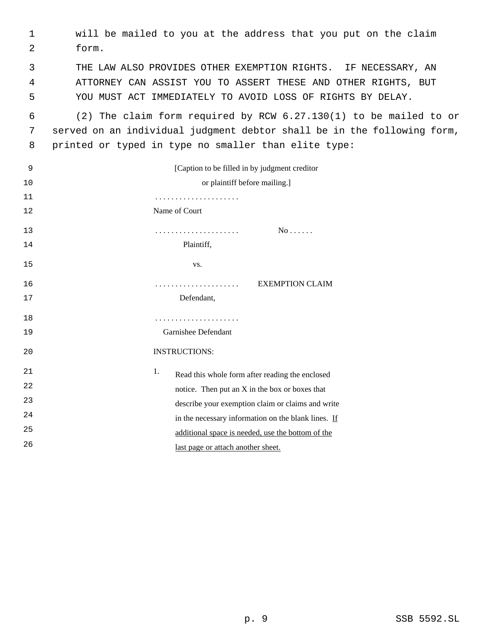| 1  | will be mailed to you at the address that you put on the claim          |
|----|-------------------------------------------------------------------------|
| 2  | form.                                                                   |
| 3  | THE LAW ALSO PROVIDES OTHER EXEMPTION RIGHTS. IF NECESSARY, AN          |
| 4  | ATTORNEY CAN ASSIST YOU TO ASSERT THESE AND OTHER RIGHTS, BUT           |
| 5  | YOU MUST ACT IMMEDIATELY TO AVOID LOSS OF RIGHTS BY DELAY.              |
| 6  | (2) The claim form required by RCW 6.27.130(1) to be mailed to or       |
| 7  | served on an individual judgment debtor shall be in the following form, |
| 8  | printed or typed in type no smaller than elite type:                    |
| 9  | [Caption to be filled in by judgment creditor]                          |
| 10 | or plaintiff before mailing.]                                           |
| 11 |                                                                         |
| 12 | Name of Court                                                           |
| 13 | No                                                                      |
| 14 | Plaintiff,                                                              |
| 15 | VS.                                                                     |
| 16 | <b>EXEMPTION CLAIM</b>                                                  |
| 17 | Defendant,                                                              |
| 18 | .                                                                       |
| 19 | Garnishee Defendant                                                     |
| 20 | <b>INSTRUCTIONS:</b>                                                    |
| 21 | 1.<br>Read this whole form after reading the enclosed                   |
| 22 | notice. Then put an X in the box or boxes that                          |
| 23 | describe your exemption claim or claims and write                       |
| 24 | in the necessary information on the blank lines. If                     |
| 25 | additional space is needed, use the bottom of the                       |
| 26 | last page or attach another sheet.                                      |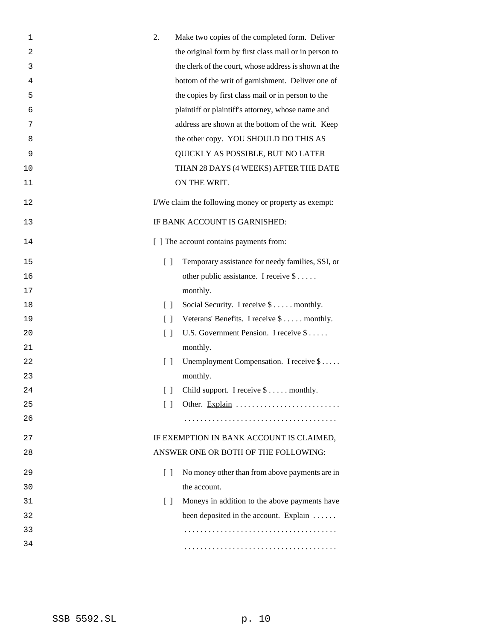| 1  | 2.<br>Make two copies of the completed form. Deliver                                  |
|----|---------------------------------------------------------------------------------------|
| 2  | the original form by first class mail or in person to                                 |
| 3  | the clerk of the court, whose address is shown at the                                 |
| 4  | bottom of the writ of garnishment. Deliver one of                                     |
| 5  | the copies by first class mail or in person to the                                    |
| 6  | plaintiff or plaintiff's attorney, whose name and                                     |
| 7  | address are shown at the bottom of the writ. Keep                                     |
| 8  | the other copy. YOU SHOULD DO THIS AS                                                 |
| 9  | QUICKLY AS POSSIBLE, BUT NO LATER                                                     |
| 10 | THAN 28 DAYS (4 WEEKS) AFTER THE DATE                                                 |
| 11 | ON THE WRIT.                                                                          |
| 12 | I/We claim the following money or property as exempt:                                 |
| 13 | IF BANK ACCOUNT IS GARNISHED:                                                         |
| 14 | [ ] The account contains payments from:                                               |
| 15 | $\begin{bmatrix} 1 \end{bmatrix}$<br>Temporary assistance for needy families, SSI, or |
| 16 | other public assistance. I receive $\$\ldots$ .                                       |
| 17 | monthly.                                                                              |
| 18 | Social Security. I receive \$ monthly.<br>$\Box$                                      |
| 19 | Veterans' Benefits. I receive \$ monthly.<br>$\Box$                                   |
| 20 | U.S. Government Pension. I receive \$<br>$\Box$                                       |
| 21 | monthly.                                                                              |
| 22 | Unemployment Compensation. I receive \$<br>$\Box$                                     |
| 23 | monthly.                                                                              |
| 24 | [ ] Child support. I receive \$ monthly.                                              |
| 25 | $\Box$<br>Other. Explain                                                              |
| 26 |                                                                                       |
| 27 | IF EXEMPTION IN BANK ACCOUNT IS CLAIMED,                                              |
| 28 | ANSWER ONE OR BOTH OF THE FOLLOWING:                                                  |
| 29 | No money other than from above payments are in<br>$\Box$                              |
| 30 | the account.                                                                          |
| 31 | Moneys in addition to the above payments have<br>$\Box$                               |
| 32 | been deposited in the account. Explain $\dots$                                        |
| 33 |                                                                                       |
| 34 |                                                                                       |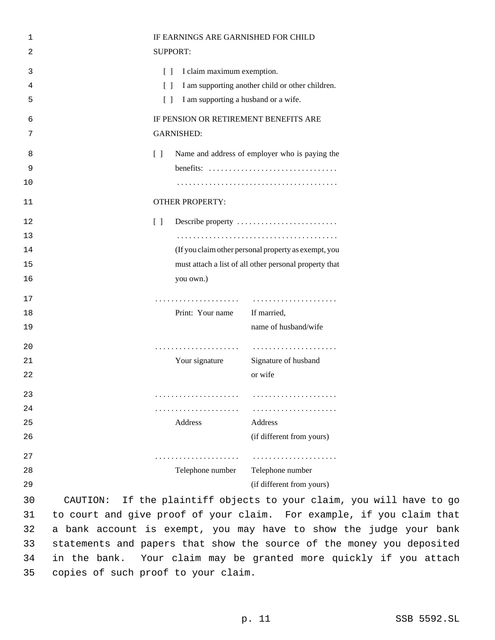| 1  | IF EARNINGS ARE GARNISHED FOR CHILD                                                 |                                                                    |
|----|-------------------------------------------------------------------------------------|--------------------------------------------------------------------|
| 2  | <b>SUPPORT:</b>                                                                     |                                                                    |
| 3  | I claim maximum exemption.<br>$\Box$                                                |                                                                    |
| 4  | $\Box$                                                                              | I am supporting another child or other children.                   |
| 5  | I am supporting a husband or a wife.<br>$\Box$                                      |                                                                    |
| 6  | IF PENSION OR RETIREMENT BENEFITS ARE                                               |                                                                    |
| 7  | <b>GARNISHED:</b>                                                                   |                                                                    |
| 8  | $\begin{bmatrix} 1 \end{bmatrix}$<br>Name and address of employer who is paying the |                                                                    |
| 9  |                                                                                     |                                                                    |
| 10 |                                                                                     |                                                                    |
| 11 | <b>OTHER PROPERTY:</b>                                                              |                                                                    |
| 12 | $\left[ \begin{array}{c} \end{array} \right]$<br>Describe property                  |                                                                    |
| 13 |                                                                                     |                                                                    |
| 14 | (If you claim other personal property as exempt, you                                |                                                                    |
| 15 | must attach a list of all other personal property that                              |                                                                    |
| 16 | you own.)                                                                           |                                                                    |
| 17 | .                                                                                   |                                                                    |
| 18 | Print: Your name                                                                    | If married,                                                        |
| 19 |                                                                                     | name of husband/wife                                               |
| 20 | .                                                                                   |                                                                    |
| 21 | Your signature                                                                      | Signature of husband                                               |
| 22 |                                                                                     | or wife                                                            |
| 23 |                                                                                     |                                                                    |
| 24 | .                                                                                   |                                                                    |
| 25 | Address                                                                             | Address                                                            |
| 26 |                                                                                     | (if different from yours)                                          |
| 27 | .                                                                                   |                                                                    |
| 28 | Telephone number Telephone number                                                   |                                                                    |
| 29 |                                                                                     | (if different from yours)                                          |
| 30 | CAUTION:                                                                            | If the plaintiff objects to your claim, you will have to go        |
| 31 | to court and give proof of your claim. For example, if you claim that               |                                                                    |
| 32 |                                                                                     | a bank account is exempt, you may have to show the judge your bank |

judge your bank statements and papers that show the source of the money you deposited in the bank. Your claim may be granted more quickly if you attach copies of such proof to your claim.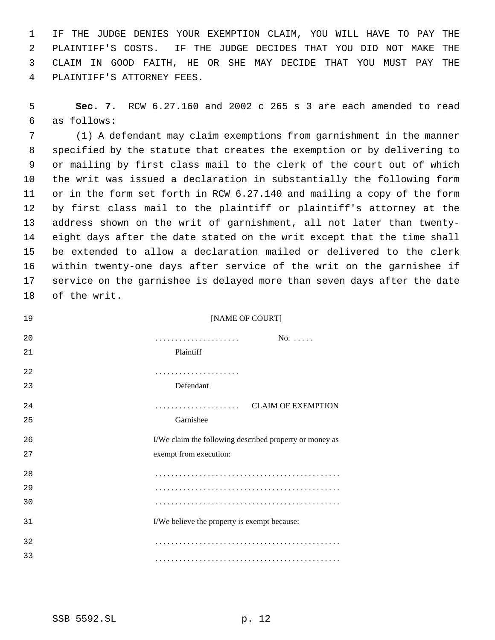IF THE JUDGE DENIES YOUR EXEMPTION CLAIM, YOU WILL HAVE TO PAY THE PLAINTIFF'S COSTS. IF THE JUDGE DECIDES THAT YOU DID NOT MAKE THE CLAIM IN GOOD FAITH, HE OR SHE MAY DECIDE THAT YOU MUST PAY THE PLAINTIFF'S ATTORNEY FEES.

 **Sec. 7.** RCW 6.27.160 and 2002 c 265 s 3 are each amended to read as follows:

 (1) A defendant may claim exemptions from garnishment in the manner specified by the statute that creates the exemption or by delivering to or mailing by first class mail to the clerk of the court out of which the writ was issued a declaration in substantially the following form or in the form set forth in RCW 6.27.140 and mailing a copy of the form by first class mail to the plaintiff or plaintiff's attorney at the address shown on the writ of garnishment, all not later than twenty- eight days after the date stated on the writ except that the time shall be extended to allow a declaration mailed or delivered to the clerk within twenty-one days after service of the writ on the garnishee if service on the garnishee is delayed more than seven days after the date of the writ.

| [NAME OF COURT]                                         |
|---------------------------------------------------------|
| $No. \ldots$ .                                          |
| Plaintiff                                               |
|                                                         |
| Defendant                                               |
| <b>CLAIM OF EXEMPTION</b>                               |
| Garnishee                                               |
| I/We claim the following described property or money as |
| exempt from execution:                                  |
|                                                         |
|                                                         |
|                                                         |
| I/We believe the property is exempt because:            |
|                                                         |
|                                                         |
|                                                         |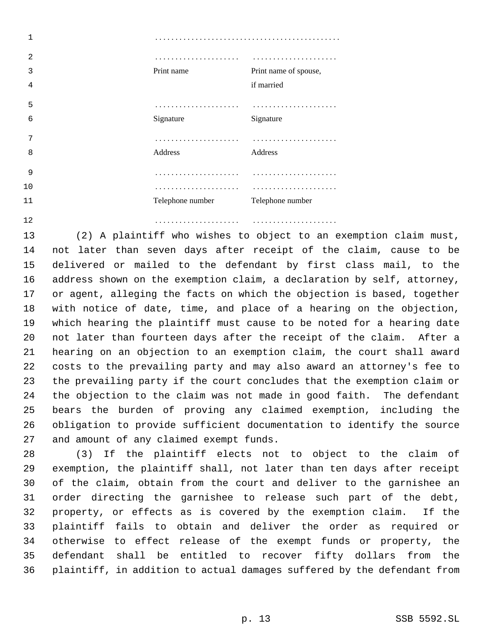| 2  | .                |                       |
|----|------------------|-----------------------|
| 3  | Print name       | Print name of spouse, |
| 4  |                  | if married            |
| 5  |                  |                       |
| 6  | Signature        | Signature             |
| 7  | .                |                       |
| 8  | Address          | Address               |
| 9  |                  | .                     |
| 10 | .                |                       |
| 11 | Telephone number | Telephone number      |
| 12 |                  |                       |

 (2) A plaintiff who wishes to object to an exemption claim must, not later than seven days after receipt of the claim, cause to be delivered or mailed to the defendant by first class mail, to the address shown on the exemption claim, a declaration by self, attorney, or agent, alleging the facts on which the objection is based, together with notice of date, time, and place of a hearing on the objection, which hearing the plaintiff must cause to be noted for a hearing date not later than fourteen days after the receipt of the claim. After a hearing on an objection to an exemption claim, the court shall award costs to the prevailing party and may also award an attorney's fee to the prevailing party if the court concludes that the exemption claim or the objection to the claim was not made in good faith. The defendant bears the burden of proving any claimed exemption, including the obligation to provide sufficient documentation to identify the source and amount of any claimed exempt funds.

 (3) If the plaintiff elects not to object to the claim of exemption, the plaintiff shall, not later than ten days after receipt of the claim, obtain from the court and deliver to the garnishee an order directing the garnishee to release such part of the debt, property, or effects as is covered by the exemption claim. If the plaintiff fails to obtain and deliver the order as required or otherwise to effect release of the exempt funds or property, the defendant shall be entitled to recover fifty dollars from the plaintiff, in addition to actual damages suffered by the defendant from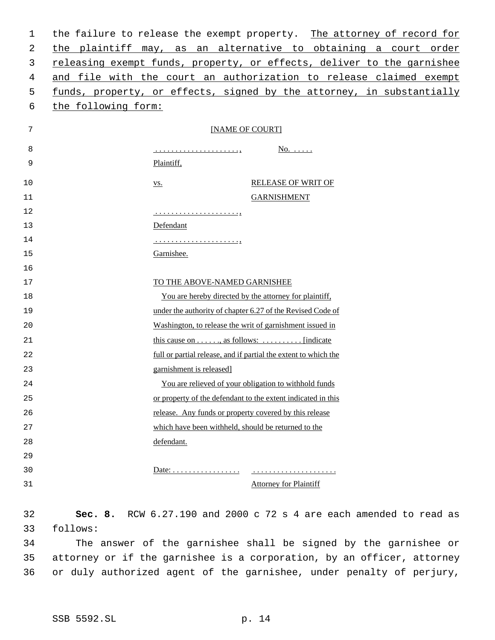| 1  | the failure to release the exempt property. The attorney of record for                                        |
|----|---------------------------------------------------------------------------------------------------------------|
| 2  | the plaintiff may, as an alternative to obtaining a court order                                               |
| 3  | releasing exempt funds, property, or effects, deliver to the garnishee                                        |
| 4  | and file with the court an authorization to release claimed exempt                                            |
| 5  | funds, property, or effects, signed by the attorney, in substantially                                         |
| 6  | the following form:                                                                                           |
|    |                                                                                                               |
| 7  | [NAME OF COURT]                                                                                               |
| 8  | <u>No.</u>                                                                                                    |
| 9  | Plaintiff,                                                                                                    |
| 10 | <b>RELEASE OF WRIT OF</b><br><u>VS.</u>                                                                       |
| 11 | <b>GARNISHMENT</b>                                                                                            |
| 12 |                                                                                                               |
| 13 | Defendant                                                                                                     |
| 14 |                                                                                                               |
| 15 | Garnishee.                                                                                                    |
| 16 |                                                                                                               |
| 17 | TO THE ABOVE-NAMED GARNISHEE                                                                                  |
| 18 | You are hereby directed by the attorney for plaintiff,                                                        |
| 19 | under the authority of chapter 6.27 of the Revised Code of                                                    |
| 20 | Washington, to release the writ of garnishment issued in                                                      |
| 21 | this cause on $\dots$ , as follows: $\dots$ , $\dots$ [indicate]                                              |
| 22 | full or partial release, and if partial the extent to which the                                               |
| 23 | garnishment is released]                                                                                      |
| 24 | You are relieved of your obligation to withhold funds                                                         |
| 25 | or property of the defendant to the extent indicated in this                                                  |
| 26 | release. Any funds or property covered by this release                                                        |
| 27 | which have been withheld, should be returned to the                                                           |
| 28 | defendant.                                                                                                    |
| 29 |                                                                                                               |
| 30 | Date: $\dots \dots \dots \dots \dots \dots \dots \dots \dots \dots \dots \dots \dots \dots \dots \dots \dots$ |
| 31 | <b>Attorney for Plaintiff</b>                                                                                 |
| 32 | Sec. 8. RCW 6.27.190 and 2000 c 72 s 4 are each amended to read as                                            |
| 33 | follows:                                                                                                      |

34 The answer of the garnishee shall be signed by the garnishee or 35 attorney or if the garnishee is a corporation, by an officer, attorney 36 or duly authorized agent of the garnishee, under penalty of perjury,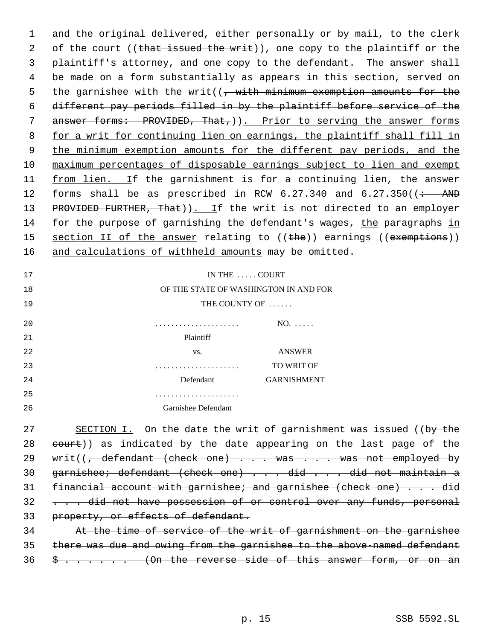1 and the original delivered, either personally or by mail, to the clerk 2 of the court ((that issued the writ)), one copy to the plaintiff or the 3 plaintiff's attorney, and one copy to the defendant. The answer shall 4 be made on a form substantially as appears in this section, served on 5 the garnishee with the writ( $\left($ , with minimum exemption amounts for the 6 different pay periods filled in by the plaintiff before service of the 7 answer forms: PROVIDED, That, )). Prior to serving the answer forms 8 for a writ for continuing lien on earnings, the plaintiff shall fill in 9 the minimum exemption amounts for the different pay periods, and the 10 maximum percentages of disposable earnings subject to lien and exempt 11 from lien. If the garnishment is for a continuing lien, the answer 12 forms shall be as prescribed in RCW  $6.27.340$  and  $6.27.350$  ( $\div$  AND 13 PROVIDED FURTHER, That)). If the writ is not directed to an employer 14 for the purpose of garnishing the defendant's wages, the paragraphs in 15 section II of the answer relating to ((the)) earnings ((exemptions)) 16 and calculations of withheld amounts may be omitted.

17 18 19 IN THE . . . . . COURT OF THE STATE OF WASHINGTON IN AND FOR THE COUNTY OF ...... 20 . . . . . . . . . . . . . . . . . . . . . NO. . . . . . 21 Plaintiff 22 vs. ANSWER 23 . . . . . . . . . . . . . . . . . . . . . TO WRIT OF 24 Defendant GARNISHMENT 25 . . . . . . . . . . . . . . . . . . . . . 26 Garnishee Defendant

27 SECTION I. On the date the writ of garnishment was issued ((by the 28 eourt)) as indicated by the date appearing on the last page of the 29 writ( $\sqrt{7}$  defendant (check one) . . . was . . . was not employed by 30 garnishee; defendant (check one) . . . did . . . did not maintain a 31 financial account with garnishee; and garnishee (check one) . . . did 32 . . . did not have possession of or control over any funds, personal 33 property, or effects of defendant.

34 At the time of service of the writ of garnishment on the garnishee 35 there was due and owing from the garnishee to the above-named defendant  $36 \frac{\epsilon}{2}$  . . . . . (On the reverse side of this answer form, or on an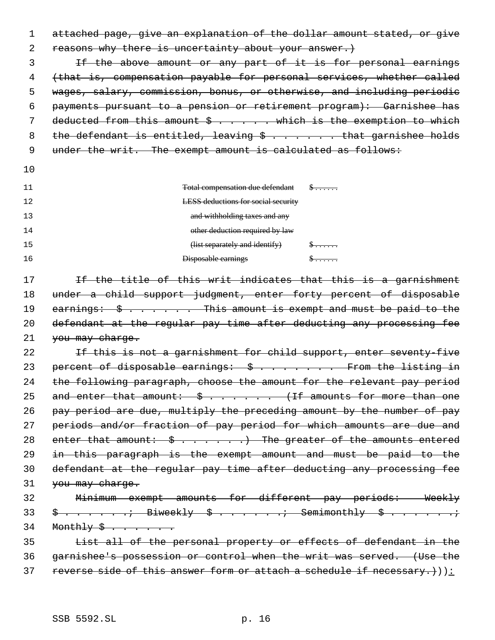1 attached page, give an explanation of the dollar amount stated, or give 2 reasons why there is uncertainty about your answer.) 3 If the above amount or any part of it is for personal earnings 4 (that is, compensation payable for personal services, whether called 5 wages, salary, commission, bonus, or otherwise, and including periodic 6 payments pursuant to a pension or retirement program): Garnishee has 7 deducted from this amount \$ . . . . . which is the exemption to which 8 the defendant is entitled, leaving  $\frac{1}{2}$  ...... that garnishee holds 9 under the writ. The exempt amount is calculated as follows: 10 11 Total compensation due defendant \$ . . . . . . 12 13 14 LESS deductions for social security and withholding taxes and any other deduction required by law 15 **Example 2 15 (a)**  $\left( \frac{1}{15} \times \frac{1}{15} \times \frac{1}{15} \times \frac{1}{15} \times \frac{1}{15} \times \frac{1}{15} \times \frac{1}{15} \times \frac{1}{15} \times \frac{1}{15} \times \frac{1}{15} \times \frac{1}{15} \times \frac{1}{15} \times \frac{1}{15} \times \frac{1}{15} \times \frac{1}{15} \times \frac{1}{15} \times \frac{1}{15} \times \frac{1}{15} \times \frac{1}{15} \times \frac{1$ 16 Disposable earnings \$ . . . . . . 17 11 If the title of this writ indicates that this is a garnishment 18 under a child support judgment, enter forty percent of disposable 19 earnings:  $\frac{1}{5}$  . . . . . This amount is exempt and must be paid to the 20 defendant at the regular pay time after deducting any processing fee 21 you may charge. 22 Tf this is not a garnishment for child support, enter seventy-five 23 percent of disposable earnings:  $\frac{1}{2}$ ........ From the listing in 24 the following paragraph, choose the amount for the relevant pay period 25 and enter that amount:  $\frac{1}{2}$  ...... (If amounts for more than one 26 pay period are due, multiply the preceding amount by the number of pay 27 periods and/or fraction of pay period for which amounts are due and 28 enter that amount:  $\frac{1}{2}$  . . . . . . The greater of the amounts entered 29 in this paragraph is the exempt amount and must be paid to the 30 defendant at the regular pay time after deducting any processing fee 31 you may charge. 32 Minimum exempt amounts for different pay periods: Weekly  $33 \quad \frac{3}{7} \quad \frac{3}{7} \quad \frac{3}{7} \quad \frac{3}{7} \quad \frac{3}{7} \quad \frac{3}{7} \quad \frac{3}{7} \quad \frac{3}{7} \quad \frac{3}{7} \quad \frac{3}{7} \quad \frac{3}{7} \quad \frac{3}{7} \quad \frac{3}{7} \quad \frac{3}{7} \quad \frac{3}{7} \quad \frac{3}{7} \quad \frac{3}{7} \quad \frac{3}{7} \quad \frac{3}{7} \quad \frac{3}{7} \quad \frac{3}{7} \quad \frac{3}{7} \quad \frac{3}{7} \quad \frac{3}{7} \quad$ 34 Monthly \$ . . . . . . 35 List all of the personal property or effects of defendant in the 36 garnishee's possession or control when the writ was served. (Use the 37 reverse side of this answer form or attach a schedule if necessary. $)$ ):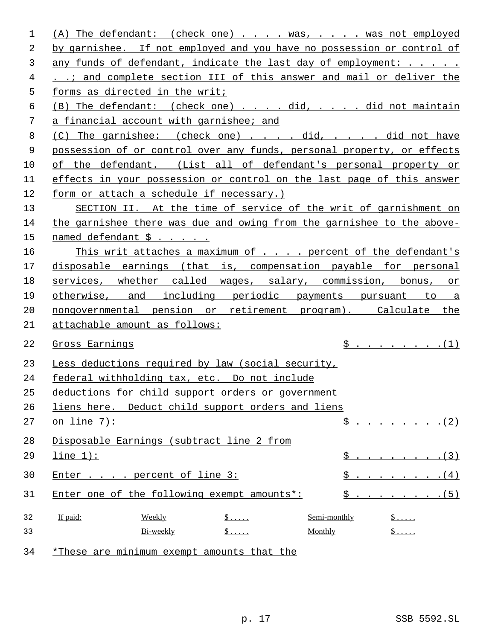| 1  | (A) The defendant: (check one) was, was not employed                                            |  |  |  |
|----|-------------------------------------------------------------------------------------------------|--|--|--|
| 2  | by garnishee. If not employed and you have no possession or control of                          |  |  |  |
| 3  | any funds of defendant, indicate the last day of employment:                                    |  |  |  |
| 4  | and complete section III of this answer and mail or deliver the                                 |  |  |  |
| 5  | forms as directed in the writ;                                                                  |  |  |  |
| 6  | (B) The defendant: (check one) did, did not maintain                                            |  |  |  |
| 7  | a financial account with garnishee; and                                                         |  |  |  |
| 8  | (C) The garnishee: (check one) did, did not have                                                |  |  |  |
| 9  | possession of or control over any funds, personal property, or effects                          |  |  |  |
| 10 | of the defendant. (List all of defendant's personal property or                                 |  |  |  |
| 11 | effects in your possession or control on the last page of this answer                           |  |  |  |
| 12 | form or attach a schedule if necessary.)                                                        |  |  |  |
| 13 | SECTION II. At the time of service of the writ of garnishment on                                |  |  |  |
| 14 | the garnishee there was due and owing from the garnishee to the above-                          |  |  |  |
| 15 | named defendant \$                                                                              |  |  |  |
| 16 | This writ attaches a maximum of percent of the defendant's                                      |  |  |  |
| 17 | disposable earnings (that is, compensation payable for personal                                 |  |  |  |
| 18 | services, whether called wages, salary, commission, bonus, or                                   |  |  |  |
| 19 | otherwise, and including periodic payments pursuant to a                                        |  |  |  |
| 20 | nongovernmental pension or retirement program). Calculate the                                   |  |  |  |
| 21 | attachable amount as follows:                                                                   |  |  |  |
| 22 | $\hat{S}$ (1)<br>Gross Earnings                                                                 |  |  |  |
| 23 | Less deductions required by law (social security,                                               |  |  |  |
| 24 | federal withholding tax, etc. Do not include                                                    |  |  |  |
| 25 | deductions for child support orders or government                                               |  |  |  |
| 26 | liens here. Deduct child support orders and liens                                               |  |  |  |
| 27 | $\hat{S}$ (2)<br>on line $7)$ :                                                                 |  |  |  |
| 28 | Disposable Earnings (subtract line 2 from                                                       |  |  |  |
| 29 | $line 1$ ):<br>$\hat{S}$ (3)                                                                    |  |  |  |
| 30 | Enter percent of line 3:<br>$S$<br>(4)                                                          |  |  |  |
| 31 | $S \t i \t j \t j \t j \t j \t j \t j \t j \t j$<br>Enter one of the following exempt amounts*: |  |  |  |
| 32 | If paid:<br>Semi-monthly<br>Weekly<br>$\ddot{\mathsf{S}}$<br>$\frac{1}{2}$                      |  |  |  |
| 33 | $\mathsf{\$}\dots$ .<br>$\frac{1}{2}$<br>Bi-weekly<br>Monthly                                   |  |  |  |
| 34 | *These are minimum exempt amounts that the                                                      |  |  |  |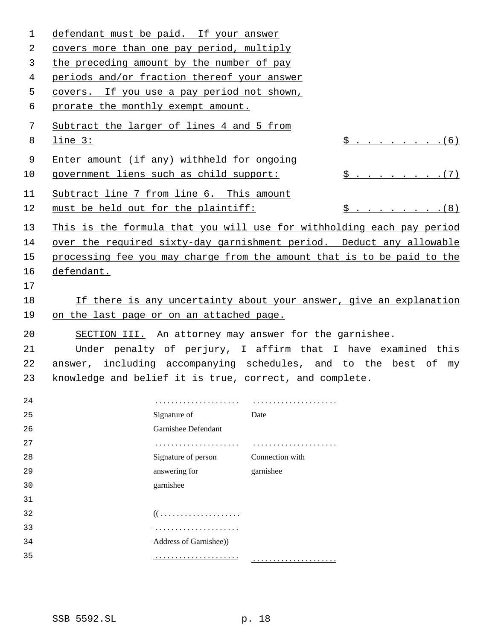| $\mathbf{1}$ | defendant must be paid. If your answer                       |                                                                         |  |
|--------------|--------------------------------------------------------------|-------------------------------------------------------------------------|--|
| 2            | covers more than one pay period, multiply                    |                                                                         |  |
| 3            | the preceding amount by the number of pay                    |                                                                         |  |
| 4            | periods and/or fraction thereof your answer                  |                                                                         |  |
| 5            | covers. If you use a pay period not shown,                   |                                                                         |  |
| 6            | prorate the monthly exempt amount.                           |                                                                         |  |
| 7            | Subtract the larger of lines 4 and 5 from                    |                                                                         |  |
| 8            | line 3:                                                      | $\hat{S}$ (6)                                                           |  |
| 9            | Enter amount (if any) withheld for ongoing                   |                                                                         |  |
| 10           | government liens such as child support:                      | $\hat{S}$ (7)                                                           |  |
| 11           | Subtract line 7 from line 6. This amount                     |                                                                         |  |
| 12           | must be held out for the plaintiff:                          | $$ \cdot \cdot \cdot \cdot \cdot \cdot \cdot (8)$                       |  |
| 13           |                                                              | This is the formula that you will use for withholding each pay period   |  |
| 14           |                                                              | over the required sixty-day garnishment period. Deduct any allowable    |  |
| 15           |                                                              | processing fee you may charge from the amount that is to be paid to the |  |
| 16           | defendant.                                                   |                                                                         |  |
| 17           |                                                              |                                                                         |  |
| 18           |                                                              | If there is any uncertainty about your answer, give an explanation      |  |
| 19           | on the last page or on an attached page.                     |                                                                         |  |
| 20           |                                                              | SECTION III. An attorney may answer for the garnishee.                  |  |
| 21           | Under penalty of perjury, I affirm that I have examined this |                                                                         |  |
| 22           |                                                              | answer, including accompanying schedules, and to the best of my         |  |
| 23           |                                                              | knowledge and belief it is true, correct, and complete.                 |  |
| 24           |                                                              |                                                                         |  |
| 25           | Signature of                                                 | Date                                                                    |  |
| 26           | Garnishee Defendant                                          |                                                                         |  |
| 27           |                                                              |                                                                         |  |
| 28           | Signature of person                                          | Connection with                                                         |  |
| 29           | answering for                                                | garnishee                                                               |  |
| 30           | garnishee                                                    |                                                                         |  |
| 31           |                                                              |                                                                         |  |
| 32           |                                                              |                                                                         |  |
| 33           | <del>.</del>                                                 |                                                                         |  |
| 34           | Address of Garnishee))                                       |                                                                         |  |
| 35           |                                                              |                                                                         |  |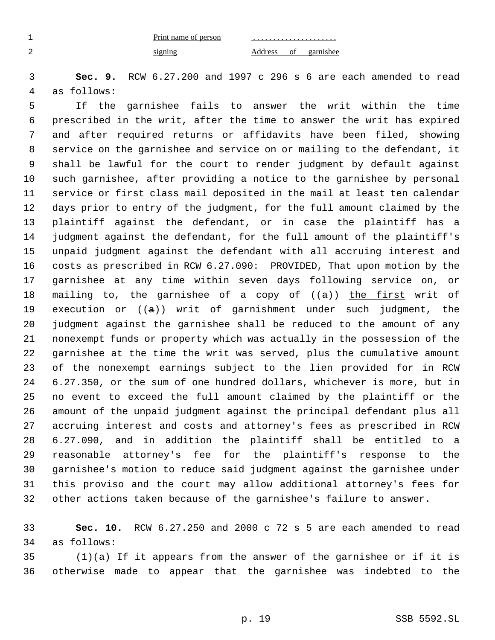Print name of person signing

 . . . . . . . . . . . . . . . . . . . . . Address of garnishee

 **Sec. 9.** RCW 6.27.200 and 1997 c 296 s 6 are each amended to read as follows:

 If the garnishee fails to answer the writ within the time prescribed in the writ, after the time to answer the writ has expired and after required returns or affidavits have been filed, showing service on the garnishee and service on or mailing to the defendant, it shall be lawful for the court to render judgment by default against such garnishee, after providing a notice to the garnishee by personal service or first class mail deposited in the mail at least ten calendar days prior to entry of the judgment, for the full amount claimed by the plaintiff against the defendant, or in case the plaintiff has a judgment against the defendant, for the full amount of the plaintiff's unpaid judgment against the defendant with all accruing interest and costs as prescribed in RCW 6.27.090: PROVIDED, That upon motion by the garnishee at any time within seven days following service on, or 18 mailing to, the garnishee of a copy of  $((a))$  the first writ of 19 execution or  $((a))$  writ of garnishment under such judgment, the judgment against the garnishee shall be reduced to the amount of any nonexempt funds or property which was actually in the possession of the garnishee at the time the writ was served, plus the cumulative amount of the nonexempt earnings subject to the lien provided for in RCW 6.27.350, or the sum of one hundred dollars, whichever is more, but in no event to exceed the full amount claimed by the plaintiff or the amount of the unpaid judgment against the principal defendant plus all accruing interest and costs and attorney's fees as prescribed in RCW 6.27.090, and in addition the plaintiff shall be entitled to a reasonable attorney's fee for the plaintiff's response to the garnishee's motion to reduce said judgment against the garnishee under this proviso and the court may allow additional attorney's fees for other actions taken because of the garnishee's failure to answer.

 **Sec. 10.** RCW 6.27.250 and 2000 c 72 s 5 are each amended to read as follows:

 (1)(a) If it appears from the answer of the garnishee or if it is otherwise made to appear that the garnishee was indebted to the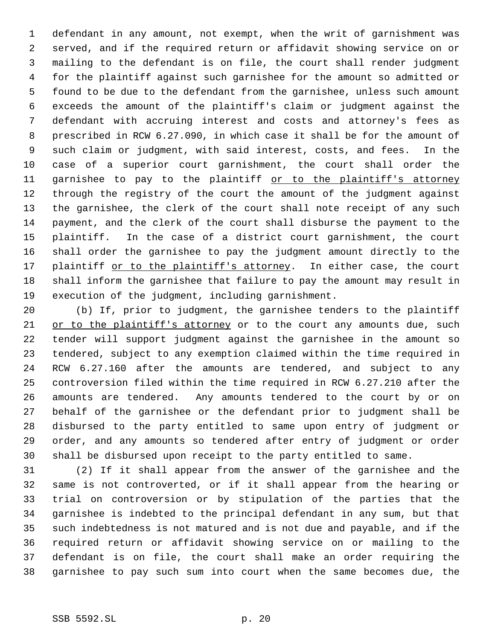defendant in any amount, not exempt, when the writ of garnishment was served, and if the required return or affidavit showing service on or mailing to the defendant is on file, the court shall render judgment for the plaintiff against such garnishee for the amount so admitted or found to be due to the defendant from the garnishee, unless such amount exceeds the amount of the plaintiff's claim or judgment against the defendant with accruing interest and costs and attorney's fees as prescribed in RCW 6.27.090, in which case it shall be for the amount of such claim or judgment, with said interest, costs, and fees. In the case of a superior court garnishment, the court shall order the 11 garnishee to pay to the plaintiff or to the plaintiff's attorney through the registry of the court the amount of the judgment against the garnishee, the clerk of the court shall note receipt of any such payment, and the clerk of the court shall disburse the payment to the plaintiff. In the case of a district court garnishment, the court shall order the garnishee to pay the judgment amount directly to the 17 plaintiff or to the plaintiff's attorney. In either case, the court shall inform the garnishee that failure to pay the amount may result in execution of the judgment, including garnishment.

 (b) If, prior to judgment, the garnishee tenders to the plaintiff 21 or to the plaintiff's attorney or to the court any amounts due, such tender will support judgment against the garnishee in the amount so tendered, subject to any exemption claimed within the time required in RCW 6.27.160 after the amounts are tendered, and subject to any controversion filed within the time required in RCW 6.27.210 after the amounts are tendered. Any amounts tendered to the court by or on behalf of the garnishee or the defendant prior to judgment shall be disbursed to the party entitled to same upon entry of judgment or order, and any amounts so tendered after entry of judgment or order shall be disbursed upon receipt to the party entitled to same.

 (2) If it shall appear from the answer of the garnishee and the same is not controverted, or if it shall appear from the hearing or trial on controversion or by stipulation of the parties that the garnishee is indebted to the principal defendant in any sum, but that such indebtedness is not matured and is not due and payable, and if the required return or affidavit showing service on or mailing to the defendant is on file, the court shall make an order requiring the garnishee to pay such sum into court when the same becomes due, the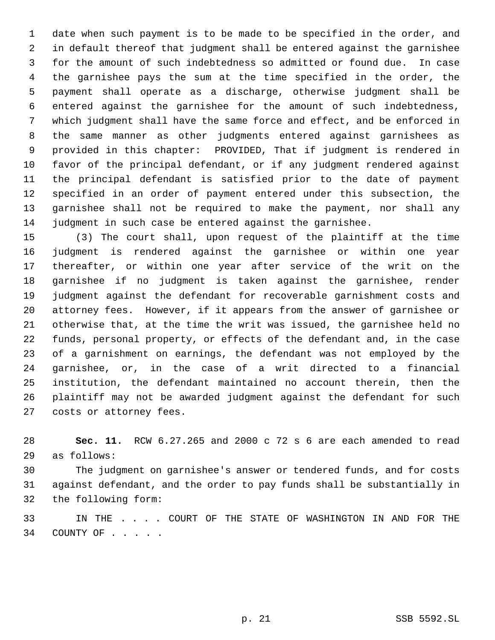date when such payment is to be made to be specified in the order, and in default thereof that judgment shall be entered against the garnishee for the amount of such indebtedness so admitted or found due. In case the garnishee pays the sum at the time specified in the order, the payment shall operate as a discharge, otherwise judgment shall be entered against the garnishee for the amount of such indebtedness, which judgment shall have the same force and effect, and be enforced in the same manner as other judgments entered against garnishees as provided in this chapter: PROVIDED, That if judgment is rendered in favor of the principal defendant, or if any judgment rendered against the principal defendant is satisfied prior to the date of payment specified in an order of payment entered under this subsection, the garnishee shall not be required to make the payment, nor shall any judgment in such case be entered against the garnishee.

 (3) The court shall, upon request of the plaintiff at the time judgment is rendered against the garnishee or within one year thereafter, or within one year after service of the writ on the garnishee if no judgment is taken against the garnishee, render judgment against the defendant for recoverable garnishment costs and attorney fees. However, if it appears from the answer of garnishee or otherwise that, at the time the writ was issued, the garnishee held no funds, personal property, or effects of the defendant and, in the case of a garnishment on earnings, the defendant was not employed by the garnishee, or, in the case of a writ directed to a financial institution, the defendant maintained no account therein, then the plaintiff may not be awarded judgment against the defendant for such costs or attorney fees.

 **Sec. 11.** RCW 6.27.265 and 2000 c 72 s 6 are each amended to read as follows:

 The judgment on garnishee's answer or tendered funds, and for costs against defendant, and the order to pay funds shall be substantially in the following form:

 IN THE . . . . COURT OF THE STATE OF WASHINGTON IN AND FOR THE 34 COUNTY OF . . . . .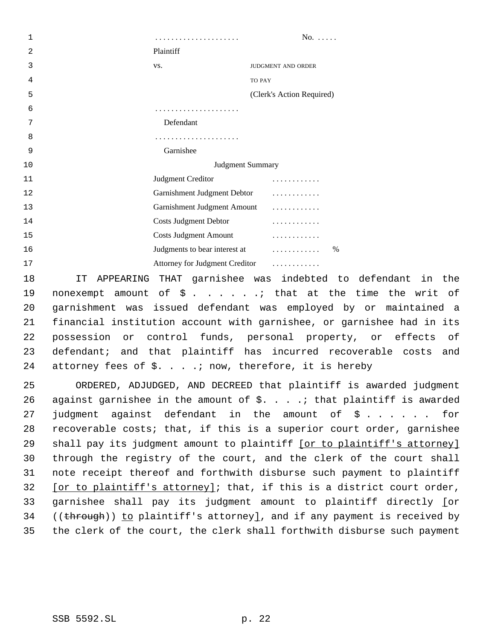. . . . . . . . . . . . . . . . . . . . . No. . . . . . Plaintiff vs. JUDGMENT AND ORDER TO PAY (Clerk's Action Required) . . . . . . . . . . . . . . . . . . . . . Defendant . . . . . . . . . . . . . . . . . . . . . Garnishee 10 Judgment Summary Judgment Creditor . . . . . . . . . . . . Garnishment Judgment Debtor . . . . . . . . . . . . Garnishment Judgment Amount . . . . . . . . . . . . Costs Judgment Debtor . . . . . . . . . . . . Costs Judgment Amount . . . . . . . . . . . . **Iudgments to bear interest at**   $\ldots$  . . . . . . . . . . . . . . % Attorney for Judgment Creditor . . . . . . . . . . . .

 IT APPEARING THAT garnishee was indebted to defendant in the 19 nonexempt amount of  $\frac{1}{2}$  . . . . . . that at the time the writ of garnishment was issued defendant was employed by or maintained a financial institution account with garnishee, or garnishee had in its possession or control funds, personal property, or effects of defendant; and that plaintiff has incurred recoverable costs and attorney fees of \$. . . .; now, therefore, it is hereby

 ORDERED, ADJUDGED, AND DECREED that plaintiff is awarded judgment 26 against garnishee in the amount of  $\S.$  . . . .; that plaintiff is awarded judgment against defendant in the amount of \$ . . . . . . for recoverable costs; that, if this is a superior court order, garnishee 29 shall pay its judgment amount to plaintiff [or to plaintiff's attorney] through the registry of the court, and the clerk of the court shall note receipt thereof and forthwith disburse such payment to plaintiff [or to plaintiff's attorney]; that, if this is a district court order, garnishee shall pay its judgment amount to plaintiff directly [or 34 ((through)) to plaintiff's attorney], and if any payment is received by the clerk of the court, the clerk shall forthwith disburse such payment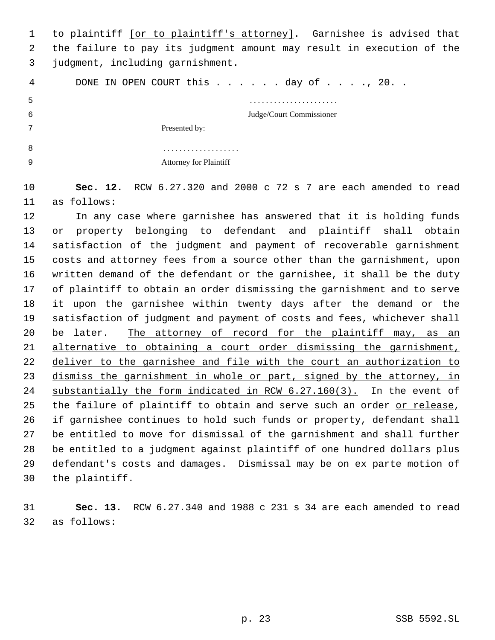1 to plaintiff [or to plaintiff's attorney]. Garnishee is advised that the failure to pay its judgment amount may result in execution of the judgment, including garnishment.

4 DONE IN OPEN COURT this . . . . . day of . . . ., 20. .

. . . . . . . . . . . . . . . . . . . . . .

Judge/Court Commissioner

Presented by:

| .                             |
|-------------------------------|
| <b>Attorney for Plaintiff</b> |

 **Sec. 12.** RCW 6.27.320 and 2000 c 72 s 7 are each amended to read as follows:

 In any case where garnishee has answered that it is holding funds or property belonging to defendant and plaintiff shall obtain satisfaction of the judgment and payment of recoverable garnishment costs and attorney fees from a source other than the garnishment, upon written demand of the defendant or the garnishee, it shall be the duty of plaintiff to obtain an order dismissing the garnishment and to serve it upon the garnishee within twenty days after the demand or the satisfaction of judgment and payment of costs and fees, whichever shall be later. The attorney of record for the plaintiff may, as an alternative to obtaining a court order dismissing the garnishment, deliver to the garnishee and file with the court an authorization to dismiss the garnishment in whole or part, signed by the attorney, in substantially the form indicated in RCW 6.27.160(3). In the event of the failure of plaintiff to obtain and serve such an order or release, if garnishee continues to hold such funds or property, defendant shall be entitled to move for dismissal of the garnishment and shall further be entitled to a judgment against plaintiff of one hundred dollars plus defendant's costs and damages. Dismissal may be on ex parte motion of the plaintiff.

 **Sec. 13.** RCW 6.27.340 and 1988 c 231 s 34 are each amended to read as follows: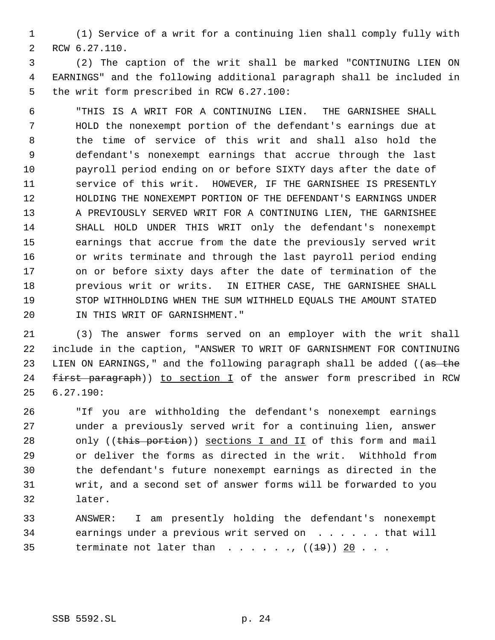(1) Service of a writ for a continuing lien shall comply fully with RCW 6.27.110.

 (2) The caption of the writ shall be marked "CONTINUING LIEN ON EARNINGS" and the following additional paragraph shall be included in the writ form prescribed in RCW 6.27.100:

 "THIS IS A WRIT FOR A CONTINUING LIEN. THE GARNISHEE SHALL HOLD the nonexempt portion of the defendant's earnings due at the time of service of this writ and shall also hold the defendant's nonexempt earnings that accrue through the last payroll period ending on or before SIXTY days after the date of service of this writ. HOWEVER, IF THE GARNISHEE IS PRESENTLY HOLDING THE NONEXEMPT PORTION OF THE DEFENDANT'S EARNINGS UNDER A PREVIOUSLY SERVED WRIT FOR A CONTINUING LIEN, THE GARNISHEE SHALL HOLD UNDER THIS WRIT only the defendant's nonexempt earnings that accrue from the date the previously served writ or writs terminate and through the last payroll period ending on or before sixty days after the date of termination of the previous writ or writs. IN EITHER CASE, THE GARNISHEE SHALL STOP WITHHOLDING WHEN THE SUM WITHHELD EQUALS THE AMOUNT STATED IN THIS WRIT OF GARNISHMENT."

 (3) The answer forms served on an employer with the writ shall include in the caption, "ANSWER TO WRIT OF GARNISHMENT FOR CONTINUING 23 LIEN ON EARNINGS," and the following paragraph shall be added ((as the 24 first paragraph)) to section I of the answer form prescribed in RCW 6.27.190:

 "If you are withholding the defendant's nonexempt earnings under a previously served writ for a continuing lien, answer 28 only ((this portion)) sections I and II of this form and mail or deliver the forms as directed in the writ. Withhold from the defendant's future nonexempt earnings as directed in the writ, and a second set of answer forms will be forwarded to you later.

 ANSWER: I am presently holding the defendant's nonexempt 34 earnings under a previous writ served on . . . . . . that will 35 terminate not later than  $\ldots$ , ...,  $((1\frac{19}{})\frac{20}{16} \ldots$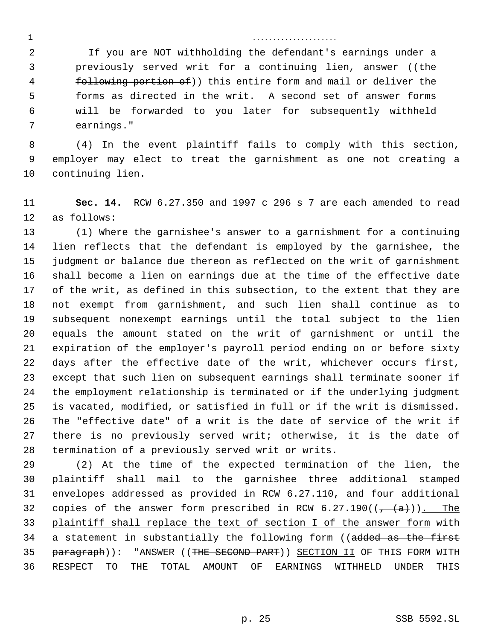2 If you are NOT withholding the defendant's earnings under a **previously served writ for a continuing lien, answer** ((the 4 following portion of)) this entire form and mail or deliver the forms as directed in the writ. A second set of answer forms will be forwarded to you later for subsequently withheld earnings."

. . . . . . . . . . . . . . . . . . . . .

 (4) In the event plaintiff fails to comply with this section, employer may elect to treat the garnishment as one not creating a continuing lien.

 **Sec. 14.** RCW 6.27.350 and 1997 c 296 s 7 are each amended to read as follows:

 (1) Where the garnishee's answer to a garnishment for a continuing lien reflects that the defendant is employed by the garnishee, the judgment or balance due thereon as reflected on the writ of garnishment shall become a lien on earnings due at the time of the effective date of the writ, as defined in this subsection, to the extent that they are not exempt from garnishment, and such lien shall continue as to subsequent nonexempt earnings until the total subject to the lien equals the amount stated on the writ of garnishment or until the expiration of the employer's payroll period ending on or before sixty days after the effective date of the writ, whichever occurs first, except that such lien on subsequent earnings shall terminate sooner if the employment relationship is terminated or if the underlying judgment is vacated, modified, or satisfied in full or if the writ is dismissed. The "effective date" of a writ is the date of service of the writ if there is no previously served writ; otherwise, it is the date of termination of a previously served writ or writs.

 (2) At the time of the expected termination of the lien, the plaintiff shall mail to the garnishee three additional stamped envelopes addressed as provided in RCW 6.27.110, and four additional 32 copies of the answer form prescribed in RCW  $6.27.190((\frac{1}{7}(a))$ . The plaintiff shall replace the text of section I of the answer form with 34 a statement in substantially the following form ((added as the first 35 paragraph)): "ANSWER ((THE SECOND PART)) SECTION II OF THIS FORM WITH RESPECT TO THE TOTAL AMOUNT OF EARNINGS WITHHELD UNDER THIS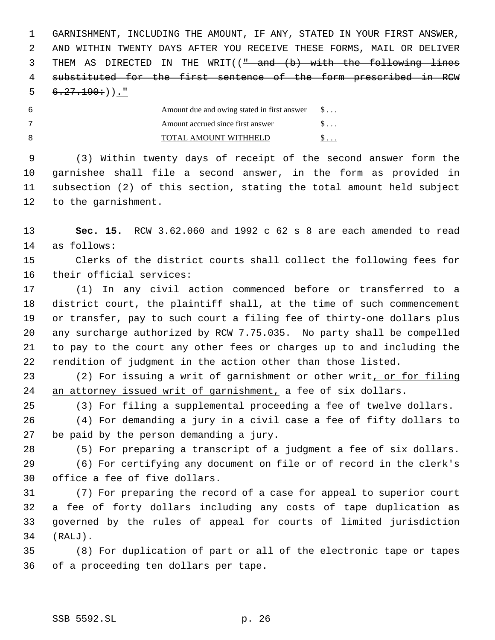GARNISHMENT, INCLUDING THE AMOUNT, IF ANY, STATED IN YOUR FIRST ANSWER, AND WITHIN TWENTY DAYS AFTER YOU RECEIVE THESE FORMS, MAIL OR DELIVER 3 THEM AS DIRECTED IN THE WRIT(( $\frac{m}{n}$  and (b) with the following lines substituted for the first sentence of the form prescribed in RCW  $6.27.190:$  )."

| Amount due and owing stated in first answer | $S \ldots$ |
|---------------------------------------------|------------|
| Amount accrued since first answer           |            |
| TOTAL AMOUNT WITHHELD                       |            |

 (3) Within twenty days of receipt of the second answer form the garnishee shall file a second answer, in the form as provided in subsection (2) of this section, stating the total amount held subject to the garnishment.

 **Sec. 15.** RCW 3.62.060 and 1992 c 62 s 8 are each amended to read as follows:

 Clerks of the district courts shall collect the following fees for their official services:

 (1) In any civil action commenced before or transferred to a district court, the plaintiff shall, at the time of such commencement or transfer, pay to such court a filing fee of thirty-one dollars plus any surcharge authorized by RCW 7.75.035. No party shall be compelled to pay to the court any other fees or charges up to and including the rendition of judgment in the action other than those listed.

 (2) For issuing a writ of garnishment or other writ, or for filing an attorney issued writ of garnishment, a fee of six dollars.

(3) For filing a supplemental proceeding a fee of twelve dollars.

 (4) For demanding a jury in a civil case a fee of fifty dollars to be paid by the person demanding a jury.

(5) For preparing a transcript of a judgment a fee of six dollars.

 (6) For certifying any document on file or of record in the clerk's office a fee of five dollars.

 (7) For preparing the record of a case for appeal to superior court a fee of forty dollars including any costs of tape duplication as governed by the rules of appeal for courts of limited jurisdiction (RALJ).

 (8) For duplication of part or all of the electronic tape or tapes of a proceeding ten dollars per tape.